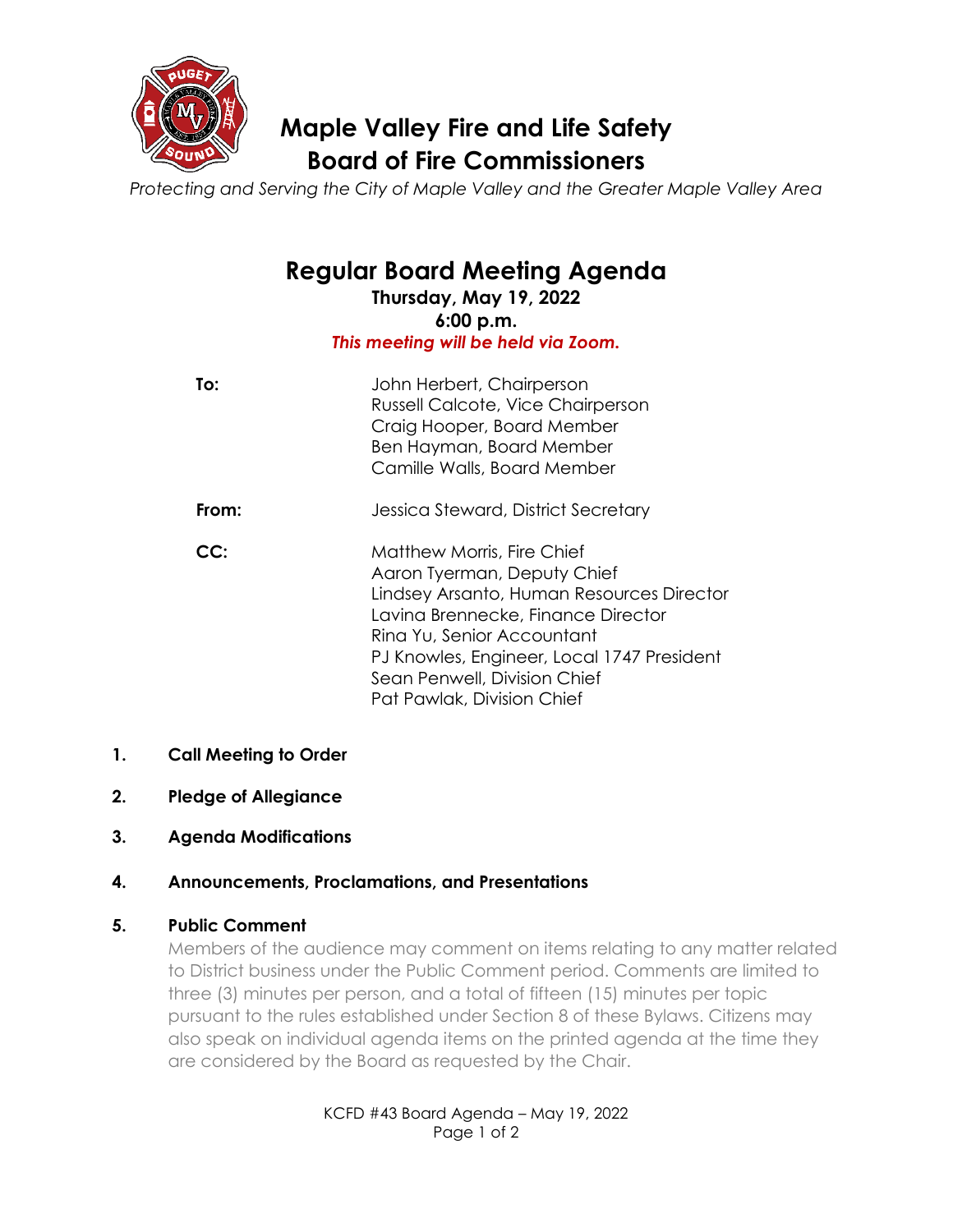

# **Maple Valley Fire and Life Safety Board of Fire Commissioners**

*Protecting and Serving the City of Maple Valley and the Greater Maple Valley Area*

# **Regular Board Meeting Agenda**

**Thursday, May 19, 2022 6:00 p.m.** *This meeting will be held via Zoom.*

| To:   | John Herbert, Chairperson<br>Russell Calcote, Vice Chairperson<br>Craig Hooper, Board Member<br>Ben Hayman, Board Member<br>Camille Walls, Board Member                                                                                                                                       |
|-------|-----------------------------------------------------------------------------------------------------------------------------------------------------------------------------------------------------------------------------------------------------------------------------------------------|
| From: | Jessica Steward, District Secretary                                                                                                                                                                                                                                                           |
| CC:   | <b>Matthew Morris, Fire Chief</b><br>Aaron Tyerman, Deputy Chief<br>Lindsey Arsanto, Human Resources Director<br>Lavina Brennecke, Finance Director<br>Rina Yu, Senior Accountant<br>PJ Knowles, Engineer, Local 1747 President<br>Sean Penwell, Division Chief<br>Pat Pawlak, Division Chief |

# **1. Call Meeting to Order**

- **2. Pledge of Allegiance**
- **3. Agenda Modifications**

# **4. Announcements, Proclamations, and Presentations**

# **5. Public Comment**

Members of the audience may comment on items relating to any matter related to District business under the Public Comment period. Comments are limited to three (3) minutes per person, and a total of fifteen (15) minutes per topic pursuant to the rules established under Section 8 of these Bylaws. Citizens may also speak on individual agenda items on the printed agenda at the time they are considered by the Board as requested by the Chair.

> KCFD #43 Board Agenda – May 19, 2022 Page 1 of 2